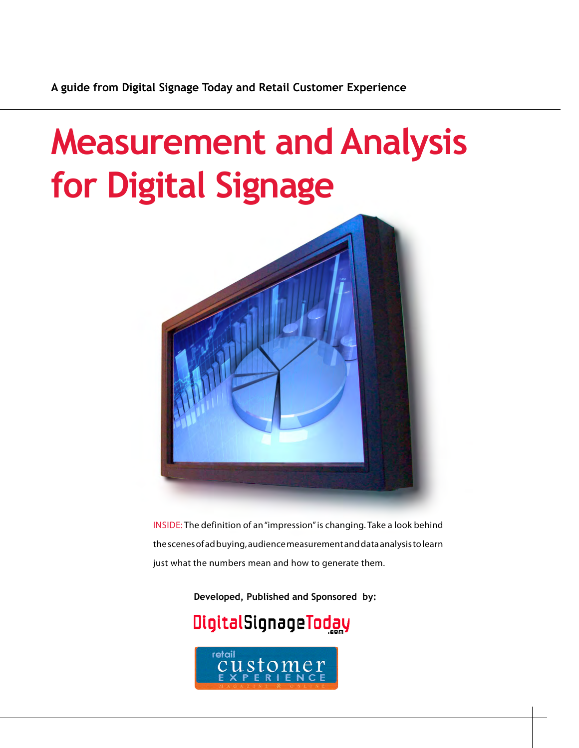# **Measurement and Analysis for Digital Signage**



INSIDE: The definition of an "impression" is changing. Take a look behind the scenes of ad buying, audience measurement and data analysis to learn just what the numbers mean and how to generate them.

**Developed, Published and Sponsored by:**

## DigitalSignageToday

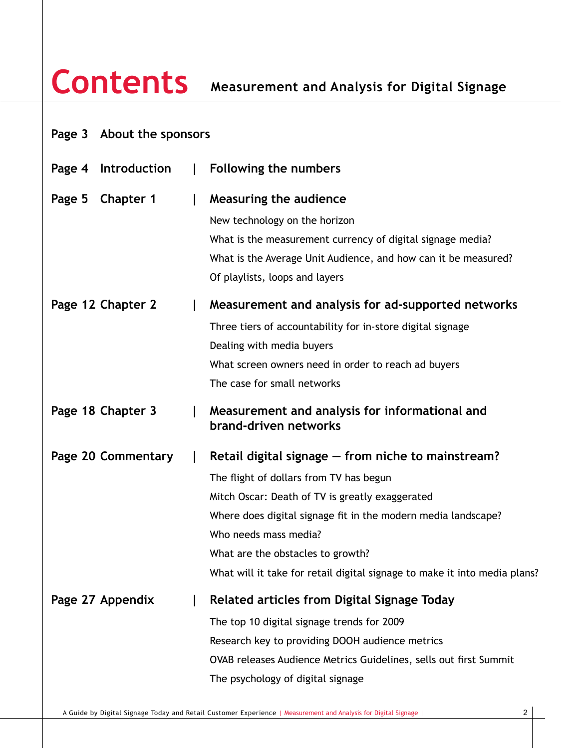|  | Page 3 About the sponsors |  |
|--|---------------------------|--|
|--|---------------------------|--|

| Introduction<br>Page 4 | I. | Following the numbers                                                     |
|------------------------|----|---------------------------------------------------------------------------|
| Chapter 1<br>Page 5    |    | Measuring the audience                                                    |
|                        |    | New technology on the horizon                                             |
|                        |    | What is the measurement currency of digital signage media?                |
|                        |    | What is the Average Unit Audience, and how can it be measured?            |
|                        |    | Of playlists, loops and layers                                            |
| Page 12 Chapter 2      |    | Measurement and analysis for ad-supported networks                        |
|                        |    | Three tiers of accountability for in-store digital signage                |
|                        |    | Dealing with media buyers                                                 |
|                        |    | What screen owners need in order to reach ad buyers                       |
|                        |    | The case for small networks                                               |
| Page 18 Chapter 3      |    | Measurement and analysis for informational and<br>brand-driven networks   |
| Page 20 Commentary     |    | Retail digital signage – from niche to mainstream?                        |
|                        |    | The flight of dollars from TV has begun                                   |
|                        |    | Mitch Oscar: Death of TV is greatly exaggerated                           |
|                        |    | Where does digital signage fit in the modern media landscape?             |
|                        |    | Who needs mass media?                                                     |
|                        |    | What are the obstacles to growth?                                         |
|                        |    | What will it take for retail digital signage to make it into media plans? |
| Page 27 Appendix       |    | Related articles from Digital Signage Today                               |
|                        |    | The top 10 digital signage trends for 2009                                |
|                        |    | Research key to providing DOOH audience metrics                           |
|                        |    | OVAB releases Audience Metrics Guidelines, sells out first Summit         |
|                        |    | The psychology of digital signage                                         |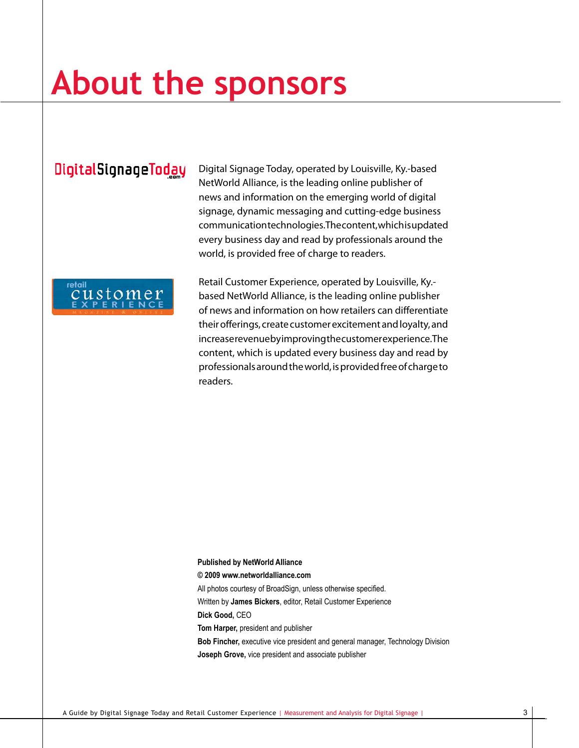# **About the sponsors**

### DigitalSignageToday

Digital Signage Today, operated by Louisville, Ky.-based NetWorld Alliance, is the leading online publisher of news and information on the emerging world of digital signage, dynamic messaging and cutting-edge business communication technologies. The content, which is updated every business day and read by professionals around the world, is provided free of charge to readers.



Retail Customer Experience, operated by Louisville, Ky. based NetWorld Alliance, is the leading online publisher of news and information on how retailers can differentiate their offerings, create customer excitement and loyalty, and increase revenue by improving the customer experience. The content, which is updated every business day and read by professionals around the world, is provided free of charge to readers.

#### **Published by NetWorld Alliance**

**© 2009 www.networldalliance.com**

All photos courtesy of BroadSign, unless otherwise specified.

Written by **James Bickers**, editor, Retail Customer Experience

**Dick Good,** CEO

**Tom Harper,** president and publisher

**Bob Fincher,** executive vice president and general manager, Technology Division **Joseph Grove,** vice president and associate publisher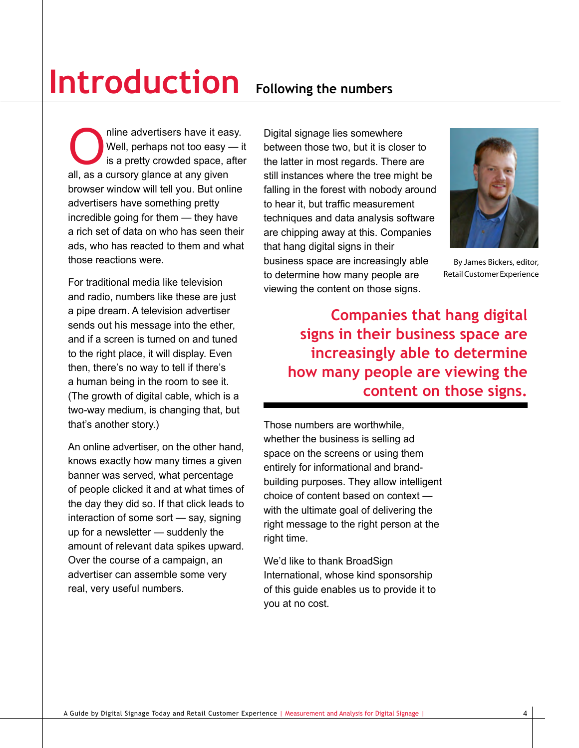# **Introduction Following the numbers**

Online advertisers have it easy.<br>
Well, perhaps not too easy — is<br>
is a pretty crowded space, after<br>
all as a cursory glance at any given Well, perhaps not too easy — it is a pretty crowded space, after all, as a cursory glance at any given browser window will tell you. But online advertisers have something pretty incredible going for them — they have a rich set of data on who has seen their ads, who has reacted to them and what those reactions were.

For traditional media like television and radio, numbers like these are just a pipe dream. A television advertiser sends out his message into the ether, and if a screen is turned on and tuned to the right place, it will display. Even then, there's no way to tell if there's a human being in the room to see it. (The growth of digital cable, which is a two-way medium, is changing that, but that's another story.)

An online advertiser, on the other hand, knows exactly how many times a given banner was served, what percentage of people clicked it and at what times of the day they did so. If that click leads to interaction of some sort — say, signing up for a newsletter — suddenly the amount of relevant data spikes upward. Over the course of a campaign, an advertiser can assemble some very real, very useful numbers.

Digital signage lies somewhere between those two, but it is closer to the latter in most regards. There are still instances where the tree might be falling in the forest with nobody around to hear it, but traffic measurement techniques and data analysis software are chipping away at this. Companies that hang digital signs in their business space are increasingly able to determine how many people are viewing the content on those signs.



By James Bickers, editor, Retail Customer Experience

 **Companies that hang digital signs in their business space are increasingly able to determine how many people are viewing the content on those signs.**

Those numbers are worthwhile, whether the business is selling ad space on the screens or using them entirely for informational and brandbuilding purposes. They allow intelligent choice of content based on context with the ultimate goal of delivering the right message to the right person at the right time.

We'd like to thank BroadSign International, whose kind sponsorship of this guide enables us to provide it to you at no cost.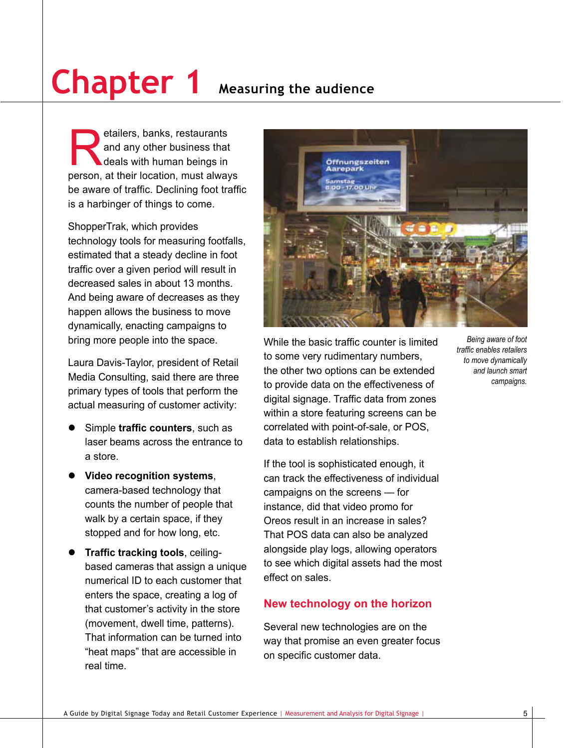# **Chapter 1 Measuring the audience**

etailers, banks, restaurants<br>and any other business that<br>deals with human beings in<br>nerson at their location must alway and any other business that deals with human beings in person, at their location, must always be aware of traffic. Declining foot traffic is a harbinger of things to come.

ShopperTrak, which provides technology tools for measuring footfalls, estimated that a steady decline in foot traffic over a given period will result in decreased sales in about 13 months. And being aware of decreases as they happen allows the business to move dynamically, enacting campaigns to bring more people into the space.

Laura Davis-Taylor, president of Retail Media Consulting, said there are three primary types of tools that perform the actual measuring of customer activity:

- Simple **traffic counters**, such as laser beams across the entrance to a store.
- **•** Video recognition systems, camera-based technology that counts the number of people that walk by a certain space, if they stopped and for how long, etc.
- **Traffic tracking tools**, ceilingbased cameras that assign a unique numerical ID to each customer that enters the space, creating a log of that customer's activity in the store (movement, dwell time, patterns). That information can be turned into "heat maps" that are accessible in real time.



While the basic traffic counter is limited to some very rudimentary numbers, the other two options can be extended to provide data on the effectiveness of digital signage. Traffic data from zones within a store featuring screens can be correlated with point-of-sale, or POS, data to establish relationships.

If the tool is sophisticated enough, it can track the effectiveness of individual campaigns on the screens — for instance, did that video promo for Oreos result in an increase in sales? That POS data can also be analyzed alongside play logs, allowing operators to see which digital assets had the most effect on sales.

#### **New technology on the horizon**

Several new technologies are on the way that promise an even greater focus on specific customer data.

*Being aware of foot traffic enables retailers to move dynamically and launch smart campaigns.*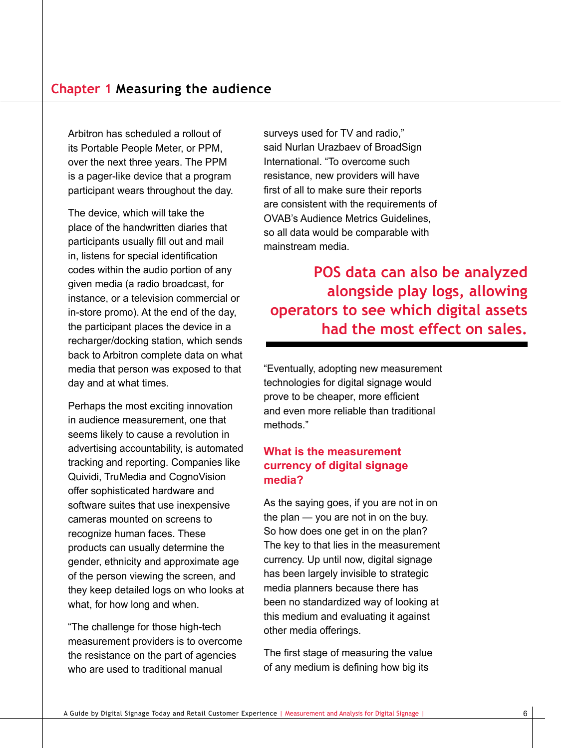Arbitron has scheduled a rollout of its Portable People Meter, or PPM, over the next three years. The PPM is a pager-like device that a program participant wears throughout the day.

The device, which will take the place of the handwritten diaries that participants usually fill out and mail in, listens for special identification codes within the audio portion of any given media (a radio broadcast, for instance, or a television commercial or in-store promo). At the end of the day, the participant places the device in a recharger/docking station, which sends back to Arbitron complete data on what media that person was exposed to that day and at what times.

Perhaps the most exciting innovation in audience measurement, one that seems likely to cause a revolution in advertising accountability, is automated tracking and reporting. Companies like Quividi, TruMedia and CognoVision offer sophisticated hardware and software suites that use inexpensive cameras mounted on screens to recognize human faces. These products can usually determine the gender, ethnicity and approximate age of the person viewing the screen, and they keep detailed logs on who looks at what, for how long and when.

"The challenge for those high-tech measurement providers is to overcome the resistance on the part of agencies who are used to traditional manual

surveys used for TV and radio," said Nurlan Urazbaev of BroadSign International. "To overcome such resistance, new providers will have first of all to make sure their reports are consistent with the requirements of OVAB's Audience Metrics Guidelines, so all data would be comparable with mainstream media.

### **POS data can also be analyzed alongside play logs, allowing operators to see which digital assets had the most effect on sales.**

"Eventually, adopting new measurement technologies for digital signage would prove to be cheaper, more efficient and even more reliable than traditional methods."

#### **What is the measurement currency of digital signage media?**

As the saying goes, if you are not in on the plan — you are not in on the buy. So how does one get in on the plan? The key to that lies in the measurement currency. Up until now, digital signage has been largely invisible to strategic media planners because there has been no standardized way of looking at this medium and evaluating it against other media offerings.

The first stage of measuring the value of any medium is defining how big its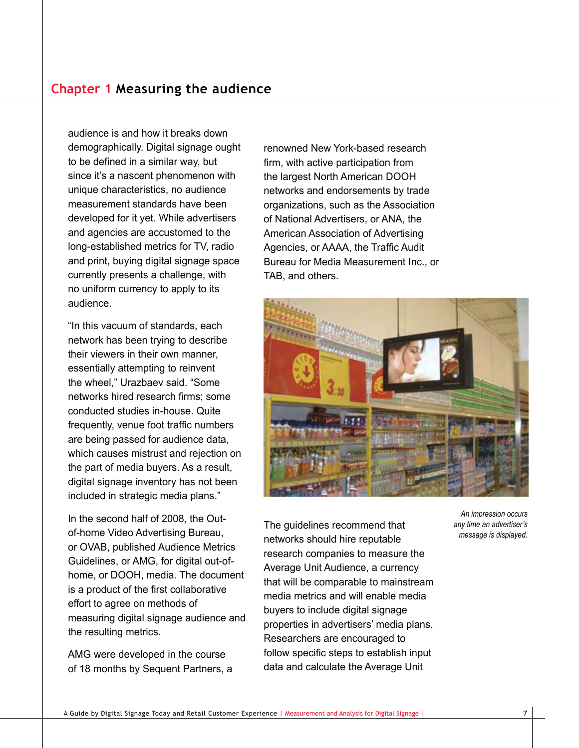audience is and how it breaks down demographically. Digital signage ought to be defined in a similar way, but since it's a nascent phenomenon with unique characteristics, no audience measurement standards have been developed for it yet. While advertisers and agencies are accustomed to the long-established metrics for TV, radio and print, buying digital signage space currently presents a challenge, with no uniform currency to apply to its audience.

"In this vacuum of standards, each network has been trying to describe their viewers in their own manner, essentially attempting to reinvent the wheel," Urazbaev said. "Some networks hired research firms; some conducted studies in-house. Quite frequently, venue foot traffic numbers are being passed for audience data, which causes mistrust and rejection on the part of media buyers. As a result, digital signage inventory has not been included in strategic media plans."

In the second half of 2008, the Outof-home Video Advertising Bureau, or OVAB, published Audience Metrics Guidelines, or AMG, for digital out-ofhome, or DOOH, media. The document is a product of the first collaborative effort to agree on methods of measuring digital signage audience and the resulting metrics.

AMG were developed in the course of 18 months by Sequent Partners, a renowned New York-based research firm, with active participation from the largest North American DOOH networks and endorsements by trade organizations, such as the Association of National Advertisers, or ANA, the American Association of Advertising Agencies, or AAAA, the Traffic Audit Bureau for Media Measurement Inc., or TAB, and others.



The guidelines recommend that networks should hire reputable research companies to measure the Average Unit Audience, a currency that will be comparable to mainstream media metrics and will enable media buyers to include digital signage properties in advertisers' media plans. Researchers are encouraged to follow specific steps to establish input data and calculate the Average Unit

*An impression occurs any time an advertiser's message is displayed.*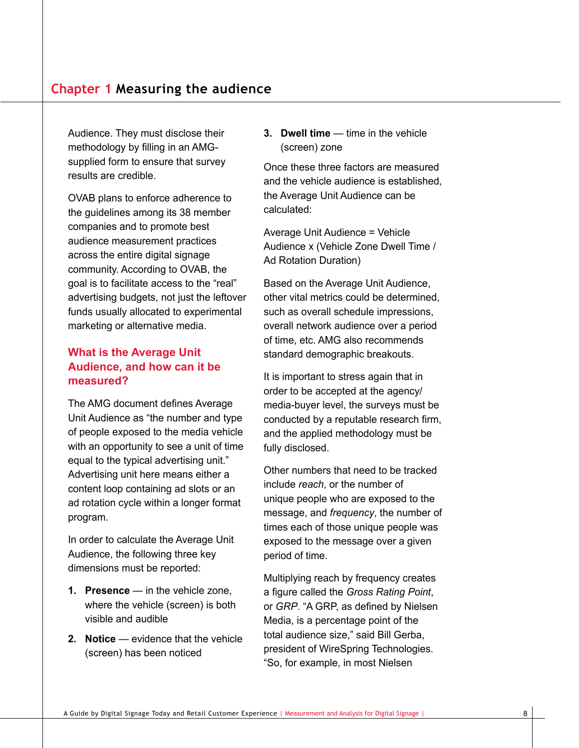#### **Chapter 1 Measuring the audience**

Audience. They must disclose their methodology by filling in an AMGsupplied form to ensure that survey results are credible.

OVAB plans to enforce adherence to the guidelines among its 38 member companies and to promote best audience measurement practices across the entire digital signage community. According to OVAB, the goal is to facilitate access to the "real" advertising budgets, not just the leftover funds usually allocated to experimental marketing or alternative media.

#### **What is the Average Unit Audience, and how can it be measured?**

The AMG document defines Average Unit Audience as "the number and type of people exposed to the media vehicle with an opportunity to see a unit of time equal to the typical advertising unit." Advertising unit here means either a content loop containing ad slots or an ad rotation cycle within a longer format program.

In order to calculate the Average Unit Audience, the following three key dimensions must be reported:

- **1. Presence** in the vehicle zone, where the vehicle (screen) is both visible and audible
- **2. Notice** evidence that the vehicle (screen) has been noticed

**3. Dwell time** — time in the vehicle (screen) zone

Once these three factors are measured and the vehicle audience is established, the Average Unit Audience can be calculated:

Average Unit Audience = Vehicle Audience x (Vehicle Zone Dwell Time / Ad Rotation Duration)

Based on the Average Unit Audience, other vital metrics could be determined, such as overall schedule impressions, overall network audience over a period of time, etc. AMG also recommends standard demographic breakouts.

It is important to stress again that in order to be accepted at the agency/ media-buyer level, the surveys must be conducted by a reputable research firm, and the applied methodology must be fully disclosed.

Other numbers that need to be tracked include *reach*, or the number of unique people who are exposed to the message, and *frequency*, the number of times each of those unique people was exposed to the message over a given period of time.

Multiplying reach by frequency creates a figure called the *Gross Rating Point*, or *GRP*. "A GRP, as defined by Nielsen Media, is a percentage point of the total audience size," said Bill Gerba, president of WireSpring Technologies. "So, for example, in most Nielsen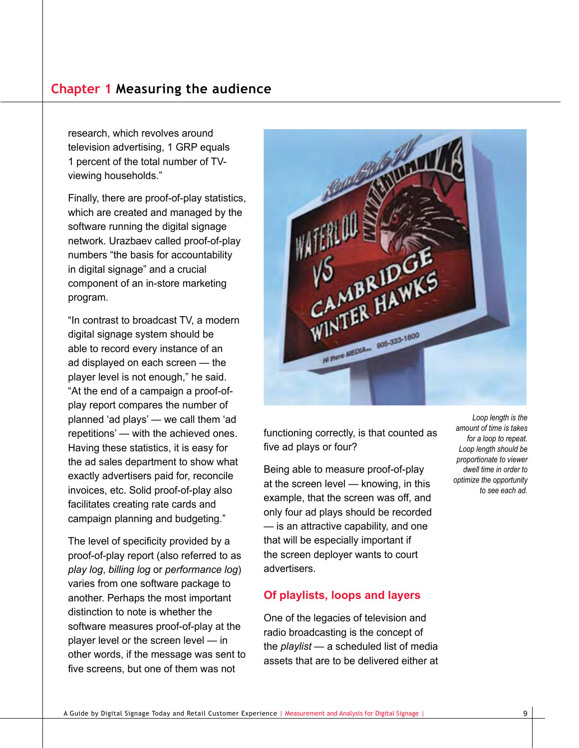#### **Chapter 1 Measuring the audience**

research, which revolves around television advertising, 1 GRP equals 1 percent of the total number of TVviewing households."

Finally, there are proof-of-play statistics, which are created and managed by the software running the digital signage network. Urazbaev called proof-of-play numbers "the basis for accountability in digital signage" and a crucial component of an in-store marketing program.

"In contrast to broadcast TV, a modern digital signage system should be able to record every instance of an ad displayed on each screen — the player level is not enough," he said. "At the end of a campaign a proof-ofplay report compares the number of planned 'ad plays' — we call them 'ad repetitions' — with the achieved ones. Having these statistics, it is easy for the ad sales department to show what exactly advertisers paid for, reconcile invoices, etc. Solid proof-of-play also facilitates creating rate cards and campaign planning and budgeting."

The level of specificity provided by a proof-of-play report (also referred to as *play log*, *billing log* or *performance log*) varies from one software package to another. Perhaps the most important distinction to note is whether the software measures proof-of-play at the player level or the screen level — in other words, if the message was sent to five screens, but one of them was not



functioning correctly, is that counted as five ad plays or four?

Being able to measure proof-of-play at the screen level — knowing, in this example, that the screen was off, and only four ad plays should be recorded — is an attractive capability, and one that will be especially important if the screen deployer wants to court advertisers.

#### **Of playlists, loops and layers**

One of the legacies of television and radio broadcasting is the concept of the *playlist* — a scheduled list of media assets that are to be delivered either at

*Loop length is the amount of time is takes for a loop to repeat. Loop length should be proportionate to viewer dwell time in order to optimize the opportunity to see each ad.*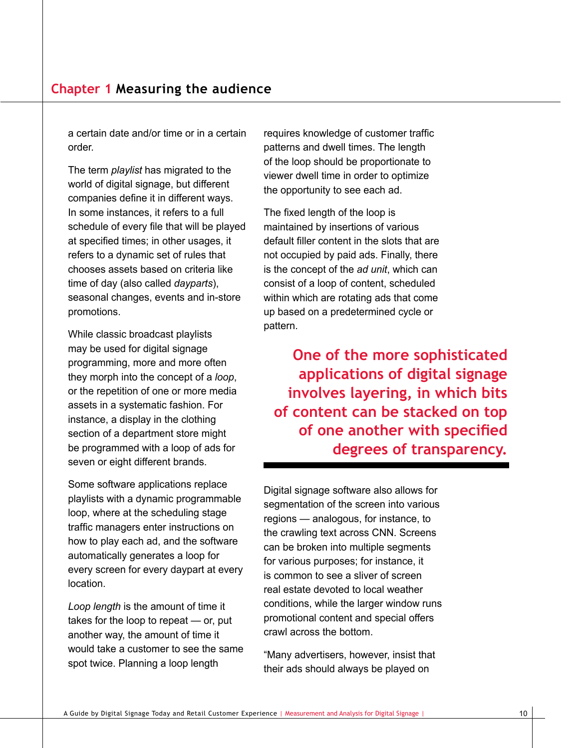a certain date and/or time or in a certain order.

The term *playlist* has migrated to the world of digital signage, but different companies define it in different ways. In some instances, it refers to a full schedule of every file that will be played at specified times; in other usages, it refers to a dynamic set of rules that chooses assets based on criteria like time of day (also called *dayparts*), seasonal changes, events and in-store promotions.

While classic broadcast playlists may be used for digital signage programming, more and more often they morph into the concept of a *loop*, or the repetition of one or more media assets in a systematic fashion. For instance, a display in the clothing section of a department store might be programmed with a loop of ads for seven or eight different brands.

Some software applications replace playlists with a dynamic programmable loop, where at the scheduling stage traffic managers enter instructions on how to play each ad, and the software automatically generates a loop for every screen for every daypart at every location.

*Loop length* is the amount of time it takes for the loop to repeat — or, put another way, the amount of time it would take a customer to see the same spot twice. Planning a loop length

requires knowledge of customer traffic patterns and dwell times. The length of the loop should be proportionate to viewer dwell time in order to optimize the opportunity to see each ad.

The fixed length of the loop is maintained by insertions of various default filler content in the slots that are not occupied by paid ads. Finally, there is the concept of the *ad unit*, which can consist of a loop of content, scheduled within which are rotating ads that come up based on a predetermined cycle or pattern.

**One of the more sophisticated applications of digital signage involves layering, in which bits of content can be stacked on top of one another with specified degrees of transparency.**

Digital signage software also allows for segmentation of the screen into various regions — analogous, for instance, to the crawling text across CNN. Screens can be broken into multiple segments for various purposes; for instance, it is common to see a sliver of screen real estate devoted to local weather conditions, while the larger window runs promotional content and special offers crawl across the bottom.

"Many advertisers, however, insist that their ads should always be played on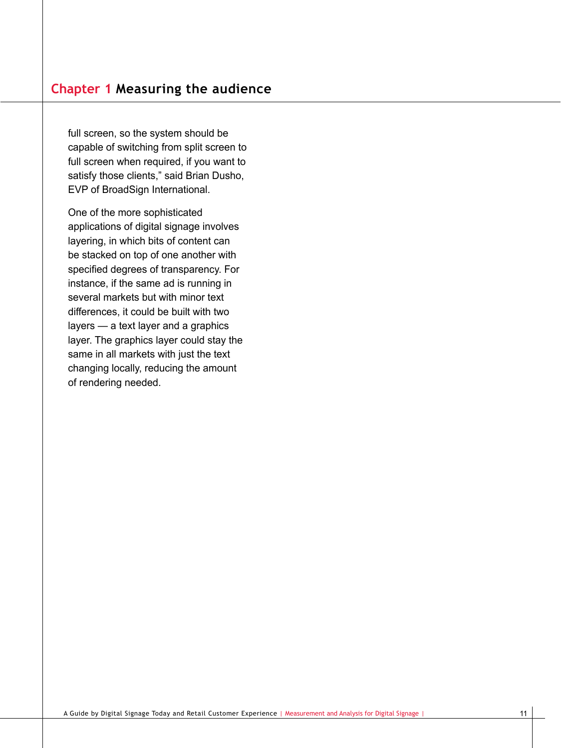full screen, so the system should be capable of switching from split screen to full screen when required, if you want to satisfy those clients," said Brian Dusho, EVP of BroadSign International.

One of the more sophisticated applications of digital signage involves layering, in which bits of content can be stacked on top of one another with specified degrees of transparency. For instance, if the same ad is running in several markets but with minor text differences, it could be built with two layers — a text layer and a graphics layer. The graphics layer could stay the same in all markets with just the text changing locally, reducing the amount of rendering needed.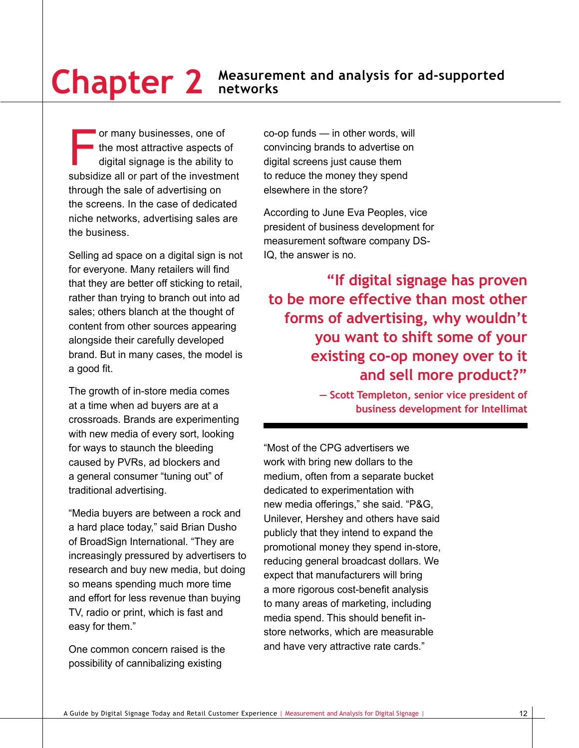For many businesses, one of<br>the most attractive aspects of<br>digital signage is the ability to<br>subsidize all or part of the investment the most attractive aspects of digital signage is the ability to subsidize all or part of the investment through the sale of advertising on the screens. In the case of dedicated niche networks, advertising sales are the business.

Selling ad space on a digital sign is not for everyone. Many retailers will find that they are better off sticking to retail, rather than trying to branch out into ad sales; others blanch at the thought of content from other sources appearing alongside their carefully developed brand. But in many cases, the model is a good fit.

The growth of in-store media comes at a time when ad buyers are at a crossroads. Brands are experimenting with new media of every sort, looking for ways to staunch the bleeding caused by PVRs, ad blockers and a general consumer "tuning out" of traditional advertising.

"Media buyers are between a rock and a hard place today," said Brian Dusho of BroadSign International. "They are increasingly pressured by advertisers to research and buy new media, but doing so means spending much more time and effort for less revenue than buying TV, radio or print, which is fast and easy for them."

One common concern raised is the possibility of cannibalizing existing

co-op funds — in other words, will convincing brands to advertise on digital screens just cause them to reduce the money they spend elsewhere in the store?

According to June Eva Peoples, vice president of business development for measurement software company DS-IQ, the answer is no.

**"If digital signage has proven to be more effective than most other forms of advertising, why wouldn't you want to shift some of your existing co-op money over to it and sell more product?"** 

> **— Scott Templeton, senior vice president of business development for Intellimat**

"Most of the CPG advertisers we work with bring new dollars to the medium, often from a separate bucket dedicated to experimentation with new media offerings," she said. "P&G, Unilever, Hershey and others have said publicly that they intend to expand the promotional money they spend in-store, reducing general broadcast dollars. We expect that manufacturers will bring a more rigorous cost-benefit analysis to many areas of marketing, including media spend. This should benefit instore networks, which are measurable and have very attractive rate cards."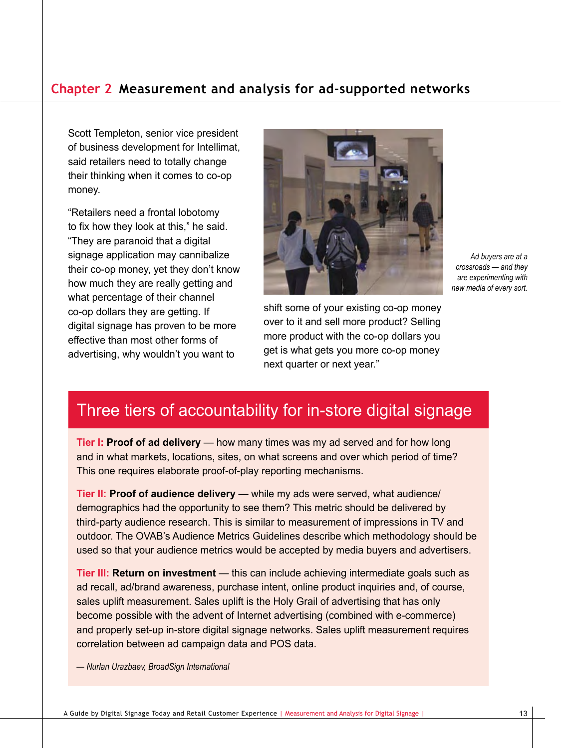Scott Templeton, senior vice president of business development for Intellimat, said retailers need to totally change their thinking when it comes to co-op money.

"Retailers need a frontal lobotomy to fix how they look at this," he said. "They are paranoid that a digital signage application may cannibalize their co-op money, yet they don't know how much they are really getting and what percentage of their channel co-op dollars they are getting. If digital signage has proven to be more effective than most other forms of advertising, why wouldn't you want to



*Ad buyers are at a crossroads — and they are experimenting with new media of every sort.*

shift some of your existing co-op money over to it and sell more product? Selling more product with the co-op dollars you get is what gets you more co-op money next quarter or next year."

### Three tiers of accountability for in-store digital signage

**Tier I: Proof of ad delivery** — how many times was my ad served and for how long and in what markets, locations, sites, on what screens and over which period of time? This one requires elaborate proof-of-play reporting mechanisms.

**Tier II: Proof of audience delivery** — while my ads were served, what audience/ demographics had the opportunity to see them? This metric should be delivered by third-party audience research. This is similar to measurement of impressions in TV and outdoor. The OVAB's Audience Metrics Guidelines describe which methodology should be used so that your audience metrics would be accepted by media buyers and advertisers.

**Tier III: Return on investment** — this can include achieving intermediate goals such as ad recall, ad/brand awareness, purchase intent, online product inquiries and, of course, sales uplift measurement. Sales uplift is the Holy Grail of advertising that has only become possible with the advent of Internet advertising (combined with e-commerce) and properly set-up in-store digital signage networks. Sales uplift measurement requires correlation between ad campaign data and POS data.

*— Nurlan Urazbaev, BroadSign International*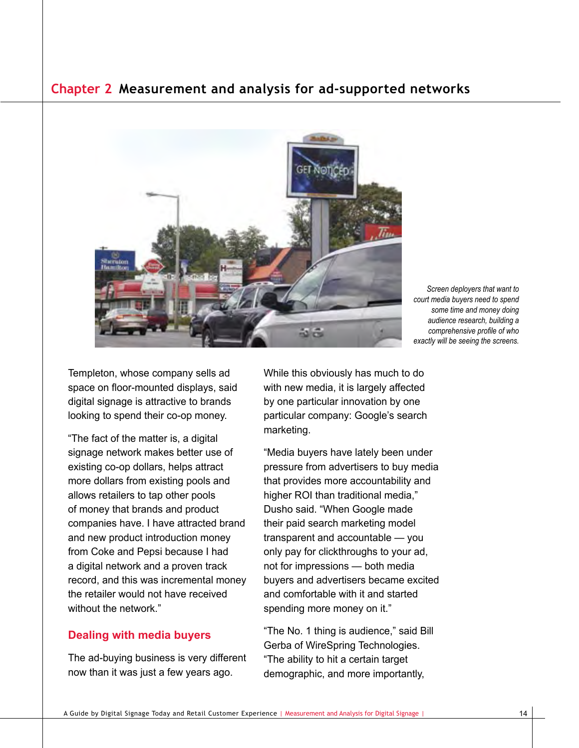

*Screen deployers that want to court media buyers need to spend some time and money doing audience research, building a comprehensive profile of who exactly will be seeing the screens.*

Templeton, whose company sells ad space on floor-mounted displays, said digital signage is attractive to brands looking to spend their co-op money.

"The fact of the matter is, a digital signage network makes better use of existing co-op dollars, helps attract more dollars from existing pools and allows retailers to tap other pools of money that brands and product companies have. I have attracted brand and new product introduction money from Coke and Pepsi because I had a digital network and a proven track record, and this was incremental money the retailer would not have received without the network."

#### **Dealing with media buyers**

The ad-buying business is very different now than it was just a few years ago.

While this obviously has much to do with new media, it is largely affected by one particular innovation by one particular company: Google's search marketing.

"Media buyers have lately been under pressure from advertisers to buy media that provides more accountability and higher ROI than traditional media," Dusho said. "When Google made their paid search marketing model transparent and accountable — you only pay for clickthroughs to your ad, not for impressions — both media buyers and advertisers became excited and comfortable with it and started spending more money on it."

"The No. 1 thing is audience," said Bill Gerba of WireSpring Technologies. "The ability to hit a certain target demographic, and more importantly,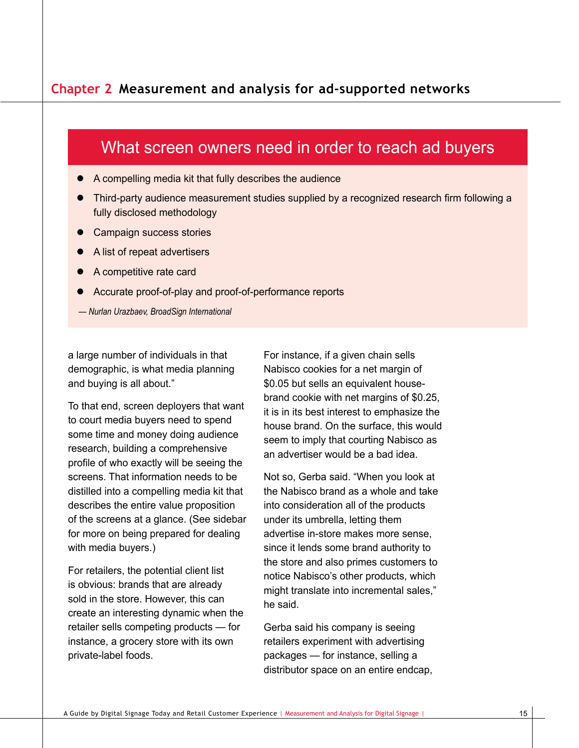### What screen owners need in order to reach ad buyers

- $\bullet$  A compelling media kit that fully describes the audience
- Third-party audience measurement studies supplied by a recognized research firm following a fully disclosed methodology
- **Campaign success stories**
- A list of repeat advertisers
- A competitive rate card
- Accurate proof-of-play and proof-of-performance reports
- *Nurlan Urazbaev, BroadSign International*

a large number of individuals in that demographic, is what media planning and buying is all about."

To that end, screen deployers that want to court media buyers need to spend some time and money doing audience research, building a comprehensive profile of who exactly will be seeing the screens. That information needs to be distilled into a compelling media kit that describes the entire value proposition of the screens at a glance. (See sidebar for more on being prepared for dealing with media buyers.)

For retailers, the potential client list is obvious: brands that are already sold in the store. However, this can create an interesting dynamic when the retailer sells competing products — for instance, a grocery store with its own private-label foods.

For instance, if a given chain sells Nabisco cookies for a net margin of \$0.05 but sells an equivalent housebrand cookie with net margins of \$0.25, it is in its best interest to emphasize the house brand. On the surface, this would seem to imply that courting Nabisco as an advertiser would be a bad idea.

Not so, Gerba said. "When you look at the Nabisco brand as a whole and take into consideration all of the products under its umbrella, letting them advertise in-store makes more sense, since it lends some brand authority to the store and also primes customers to notice Nabisco's other products, which might translate into incremental sales," he said.

Gerba said his company is seeing retailers experiment with advertising packages — for instance, selling a distributor space on an entire endcap,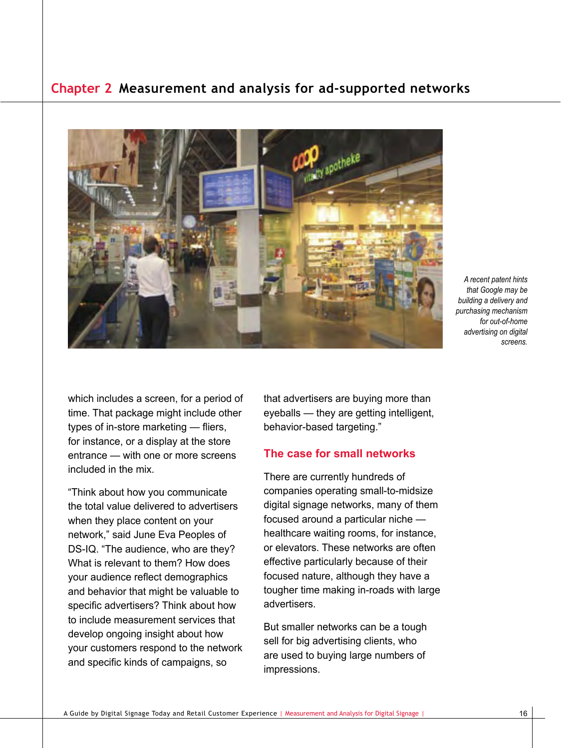

*A recent patent hints that Google may be building a delivery and purchasing mechanism for out-of-home advertising on digital screens.*

which includes a screen, for a period of time. That package might include other types of in-store marketing — fliers, for instance, or a display at the store entrance — with one or more screens included in the mix.

"Think about how you communicate the total value delivered to advertisers when they place content on your network," said June Eva Peoples of DS-IQ. "The audience, who are they? What is relevant to them? How does your audience reflect demographics and behavior that might be valuable to specific advertisers? Think about how to include measurement services that develop ongoing insight about how your customers respond to the network and specific kinds of campaigns, so

that advertisers are buying more than eyeballs — they are getting intelligent, behavior-based targeting."

#### **The case for small networks**

There are currently hundreds of companies operating small-to-midsize digital signage networks, many of them focused around a particular niche healthcare waiting rooms, for instance, or elevators. These networks are often effective particularly because of their focused nature, although they have a tougher time making in-roads with large advertisers.

But smaller networks can be a tough sell for big advertising clients, who are used to buying large numbers of impressions.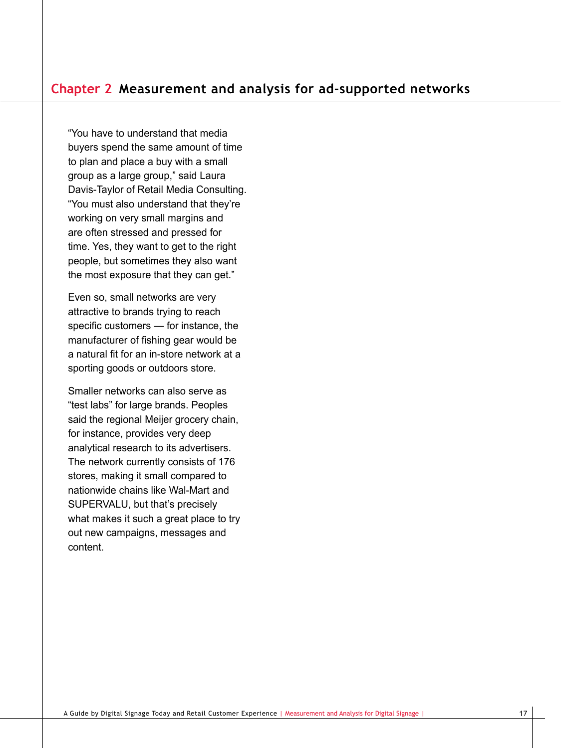"You have to understand that media buyers spend the same amount of time to plan and place a buy with a small group as a large group," said Laura Davis-Taylor of Retail Media Consulting. "You must also understand that they're working on very small margins and are often stressed and pressed for time. Yes, they want to get to the right people, but sometimes they also want the most exposure that they can get."

Even so, small networks are very attractive to brands trying to reach specific customers — for instance, the manufacturer of fishing gear would be a natural fit for an in-store network at a sporting goods or outdoors store.

Smaller networks can also serve as "test labs" for large brands. Peoples said the regional Meijer grocery chain, for instance, provides very deep analytical research to its advertisers. The network currently consists of 176 stores, making it small compared to nationwide chains like Wal-Mart and SUPERVALU, but that's precisely what makes it such a great place to try out new campaigns, messages and content.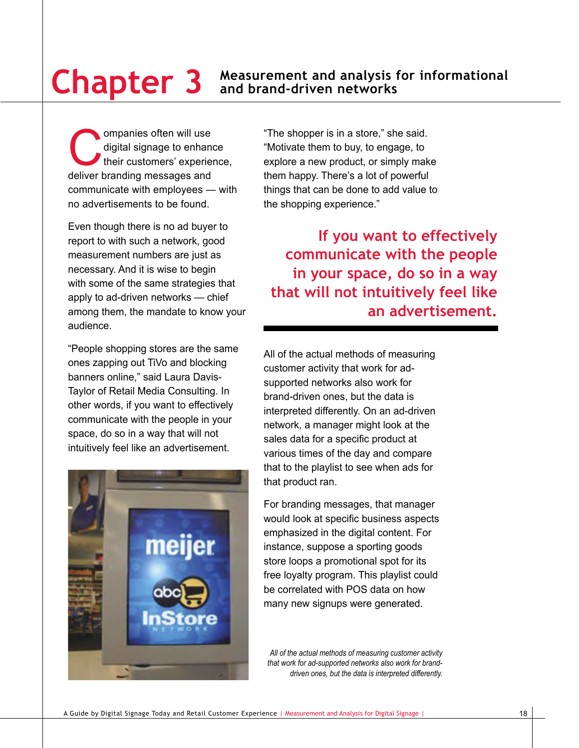ompanies often will use<br>digital signage to enhance<br>their customers' experience and digital signage to enhance their customers' experience, deliver branding messages and communicate with employees — with no advertisements to be found.

Even though there is no ad buyer to report to with such a network, good measurement numbers are just as necessary. And it is wise to begin with some of the same strategies that apply to ad-driven networks — chief among them, the mandate to know your audience.

"People shopping stores are the same ones zapping out TiVo and blocking banners online," said Laura Davis-Taylor of Retail Media Consulting. In other words, if you want to effectively communicate with the people in your space, do so in a way that will not intuitively feel like an advertisement.



"The shopper is in a store," she said. "Motivate them to buy, to engage, to explore a new product, or simply make them happy. There's a lot of powerful things that can be done to add value to the shopping experience."

**If you want to effectively communicate with the people in your space, do so in a way that will not intuitively feel like an advertisement.**

All of the actual methods of measuring customer activity that work for adsupported networks also work for brand-driven ones, but the data is interpreted differently. On an ad-driven network, a manager might look at the sales data for a specific product at various times of the day and compare that to the playlist to see when ads for that product ran.

For branding messages, that manager would look at specific business aspects emphasized in the digital content. For instance, suppose a sporting goods store loops a promotional spot for its free loyalty program. This playlist could be correlated with POS data on how many new signups were generated.

*All of the actual methods of measuring customer activity that work for ad-supported networks also work for branddriven ones, but the data is interpreted differently.*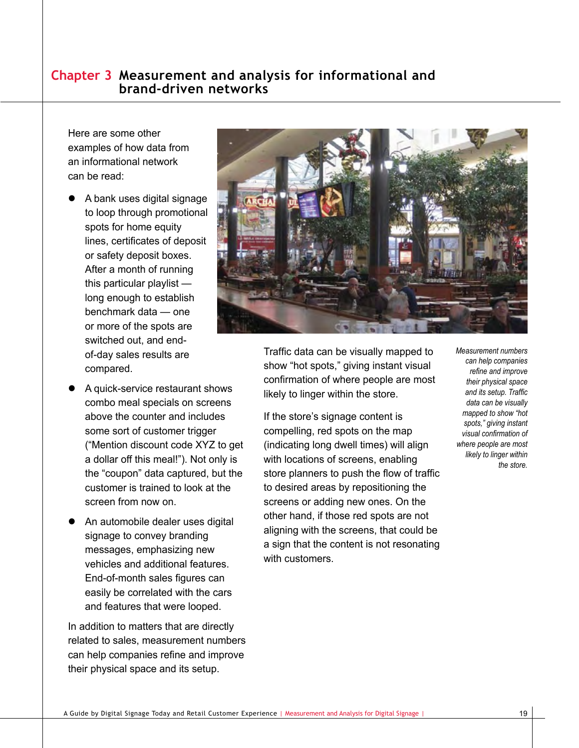## **Chapter 3 Measurement and analysis for informational and brand-driven networks**

Here are some other examples of how data from an informational network can be read:

- A bank uses digital signage to loop through promotional spots for home equity lines, certificates of deposit or safety deposit boxes. After a month of running this particular playlist long enough to establish benchmark data — one or more of the spots are switched out, and endof-day sales results are compared.
- A quick-service restaurant shows combo meal specials on screens above the counter and includes some sort of customer trigger ("Mention discount code XYZ to get a dollar off this meal!"). Not only is the "coupon" data captured, but the customer is trained to look at the screen from now on.
- An automobile dealer uses digital signage to convey branding messages, emphasizing new vehicles and additional features. End-of-month sales figures can easily be correlated with the cars and features that were looped.

In addition to matters that are directly related to sales, measurement numbers can help companies refine and improve their physical space and its setup.



Traffic data can be visually mapped to show "hot spots," giving instant visual confirmation of where people are most likely to linger within the store.

If the store's signage content is compelling, red spots on the map (indicating long dwell times) will align with locations of screens, enabling store planners to push the flow of traffic to desired areas by repositioning the screens or adding new ones. On the other hand, if those red spots are not aligning with the screens, that could be a sign that the content is not resonating with customers

*Measurement numbers can help companies refine and improve their physical space and its setup. Traffic data can be visually mapped to show "hot spots," giving instant visual confirmation of where people are most likely to linger within the store.*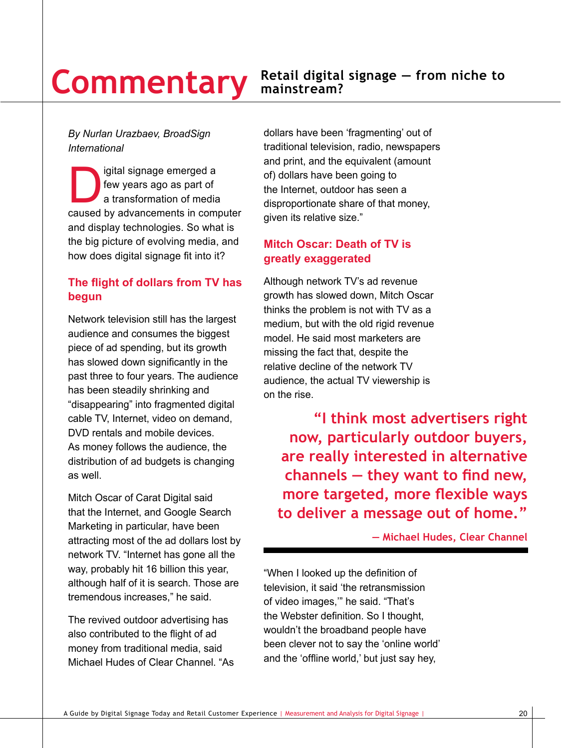# **Commentary**

#### **Retail digital signage — from niche to mainstream?**

#### *By Nurlan Urazbaev, BroadSign International*

igital signage emerged a<br>few years ago as part of<br>a transformation of media<br>caused by advancements in com few years ago as part of a transformation of media caused by advancements in computer and display technologies. So what is the big picture of evolving media, and how does digital signage fit into it?

#### **The flight of dollars from TV has begun**

Network television still has the largest audience and consumes the biggest piece of ad spending, but its growth has slowed down significantly in the past three to four years. The audience has been steadily shrinking and "disappearing" into fragmented digital cable TV, Internet, video on demand, DVD rentals and mobile devices. As money follows the audience, the distribution of ad budgets is changing as well.

Mitch Oscar of Carat Digital said that the Internet, and Google Search Marketing in particular, have been attracting most of the ad dollars lost by network TV. "Internet has gone all the way, probably hit 16 billion this year, although half of it is search. Those are tremendous increases," he said.

The revived outdoor advertising has also contributed to the flight of ad money from traditional media, said Michael Hudes of Clear Channel. "As

dollars have been 'fragmenting' out of traditional television, radio, newspapers and print, and the equivalent (amount of) dollars have been going to the Internet, outdoor has seen a disproportionate share of that money, given its relative size."

#### **Mitch Oscar: Death of TV is greatly exaggerated**

Although network TV's ad revenue growth has slowed down, Mitch Oscar thinks the problem is not with TV as a medium, but with the old rigid revenue model. He said most marketers are missing the fact that, despite the relative decline of the network TV audience, the actual TV viewership is on the rise.

**"I think most advertisers right now, particularly outdoor buyers, are really interested in alternative channels — they want to find new, more targeted, more flexible ways to deliver a message out of home."**

**— Michael Hudes, Clear Channel** 

"When I looked up the definition of television, it said 'the retransmission of video images,'" he said. "That's the Webster definition. So I thought, wouldn't the broadband people have been clever not to say the 'online world' and the 'offline world,' but just say hey,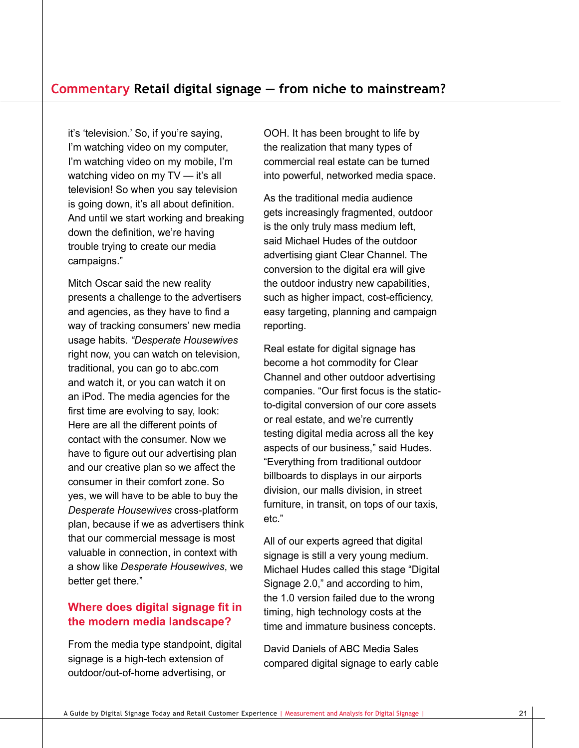it's 'television.' So, if you're saying, I'm watching video on my computer, I'm watching video on my mobile, I'm watching video on my TV — it's all television! So when you say television is going down, it's all about definition. And until we start working and breaking down the definition, we're having trouble trying to create our media campaigns."

Mitch Oscar said the new reality presents a challenge to the advertisers and agencies, as they have to find a way of tracking consumers' new media usage habits. *"Desperate Housewives* right now, you can watch on television, traditional, you can go to abc.com and watch it, or you can watch it on an iPod. The media agencies for the first time are evolving to say, look: Here are all the different points of contact with the consumer. Now we have to figure out our advertising plan and our creative plan so we affect the consumer in their comfort zone. So yes, we will have to be able to buy the *Desperate Housewives* cross-platform plan, because if we as advertisers think that our commercial message is most valuable in connection, in context with a show like *Desperate Housewives*, we better get there."

#### **Where does digital signage fit in the modern media landscape?**

From the media type standpoint, digital signage is a high-tech extension of outdoor/out-of-home advertising, or

OOH. It has been brought to life by the realization that many types of commercial real estate can be turned into powerful, networked media space.

As the traditional media audience gets increasingly fragmented, outdoor is the only truly mass medium left, said Michael Hudes of the outdoor advertising giant Clear Channel. The conversion to the digital era will give the outdoor industry new capabilities, such as higher impact, cost-efficiency, easy targeting, planning and campaign reporting.

Real estate for digital signage has become a hot commodity for Clear Channel and other outdoor advertising companies. "Our first focus is the staticto-digital conversion of our core assets or real estate, and we're currently testing digital media across all the key aspects of our business," said Hudes. "Everything from traditional outdoor billboards to displays in our airports division, our malls division, in street furniture, in transit, on tops of our taxis, etc."

All of our experts agreed that digital signage is still a very young medium. Michael Hudes called this stage "Digital Signage 2.0," and according to him, the 1.0 version failed due to the wrong timing, high technology costs at the time and immature business concepts.

David Daniels of ABC Media Sales compared digital signage to early cable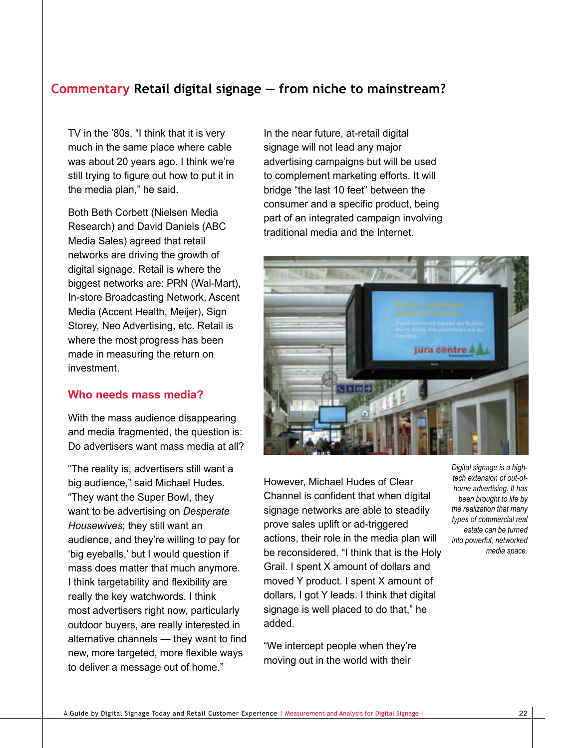TV in the '80s. "I think that it is very much in the same place where cable was about 20 years ago. I think we're still trying to figure out how to put it in the media plan," he said.

Both Beth Corbett (Nielsen Media Research) and David Daniels (ABC Media Sales) agreed that retail networks are driving the growth of digital signage. Retail is where the biggest networks are: PRN (Wal-Mart), In-store Broadcasting Network, Ascent Media (Accent Health, Meijer), Sign Storey, Neo Advertising, etc. Retail is where the most progress has been made in measuring the return on investment.

#### **Who needs mass media?**

With the mass audience disappearing and media fragmented, the question is: Do advertisers want mass media at all?

"The reality is, advertisers still want a big audience," said Michael Hudes. "They want the Super Bowl, they want to be advertising on *Desperate Housewives*; they still want an audience, and they're willing to pay for 'big eyeballs,' but I would question if mass does matter that much anymore. I think targetability and flexibility are really the key watchwords. I think most advertisers right now, particularly outdoor buyers, are really interested in alternative channels — they want to find new, more targeted, more flexible ways to deliver a message out of home."

In the near future, at-retail digital signage will not lead any major advertising campaigns but will be used to complement marketing efforts. It will bridge "the last 10 feet" between the consumer and a specific product, being part of an integrated campaign involving traditional media and the Internet.



However, Michael Hudes of Clear Channel is confident that when digital signage networks are able to steadily prove sales uplift or ad-triggered actions, their role in the media plan will be reconsidered. "I think that is the Holy Grail. I spent X amount of dollars and moved Y product. I spent X amount of dollars, I got Y leads. I think that digital signage is well placed to do that," he added.

"We intercept people when they're moving out in the world with their

*Digital signage is a hightech extension of out-ofhome advertising. It has been brought to life by the realization that many types of commercial real estate can be turned into powerful, networked media space.*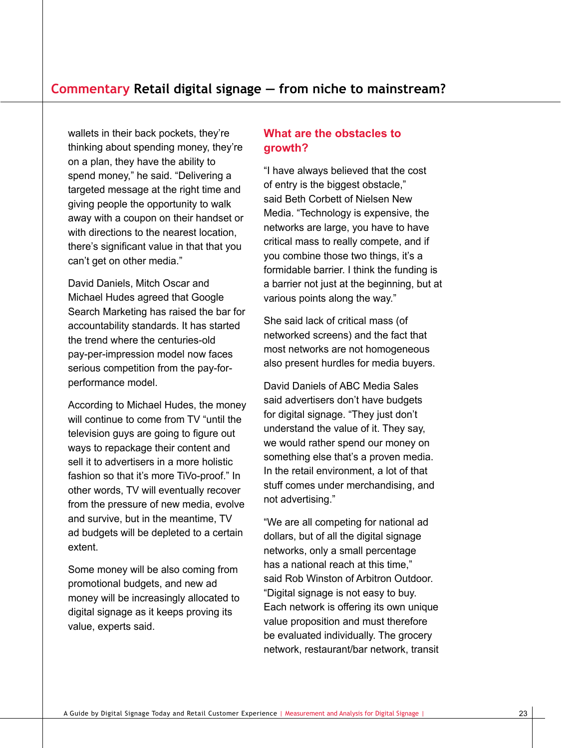wallets in their back pockets, they're thinking about spending money, they're on a plan, they have the ability to spend money," he said. "Delivering a targeted message at the right time and giving people the opportunity to walk away with a coupon on their handset or with directions to the nearest location, there's significant value in that that you can't get on other media."

David Daniels, Mitch Oscar and Michael Hudes agreed that Google Search Marketing has raised the bar for accountability standards. It has started the trend where the centuries-old pay-per-impression model now faces serious competition from the pay-forperformance model.

According to Michael Hudes, the money will continue to come from TV "until the television guys are going to figure out ways to repackage their content and sell it to advertisers in a more holistic fashion so that it's more TiVo-proof." In other words, TV will eventually recover from the pressure of new media, evolve and survive, but in the meantime, TV ad budgets will be depleted to a certain extent.

Some money will be also coming from promotional budgets, and new ad money will be increasingly allocated to digital signage as it keeps proving its value, experts said.

#### **What are the obstacles to growth?**

"I have always believed that the cost of entry is the biggest obstacle," said Beth Corbett of Nielsen New Media. "Technology is expensive, the networks are large, you have to have critical mass to really compete, and if you combine those two things, it's a formidable barrier. I think the funding is a barrier not just at the beginning, but at various points along the way."

She said lack of critical mass (of networked screens) and the fact that most networks are not homogeneous also present hurdles for media buyers.

David Daniels of ABC Media Sales said advertisers don't have budgets for digital signage. "They just don't understand the value of it. They say, we would rather spend our money on something else that's a proven media. In the retail environment, a lot of that stuff comes under merchandising, and not advertising."

"We are all competing for national ad dollars, but of all the digital signage networks, only a small percentage has a national reach at this time," said Rob Winston of Arbitron Outdoor. "Digital signage is not easy to buy. Each network is offering its own unique value proposition and must therefore be evaluated individually. The grocery network, restaurant/bar network, transit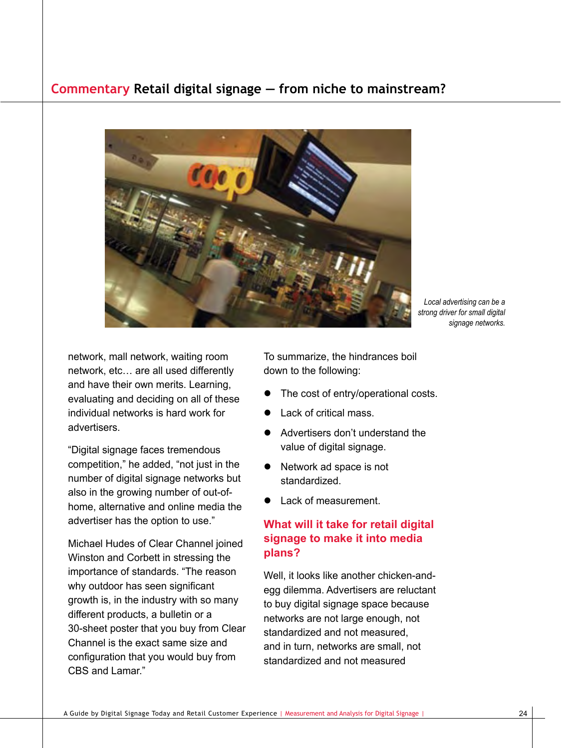

*Local advertising can be a strong driver for small digital signage networks.*

network, mall network, waiting room network, etc… are all used differently and have their own merits. Learning, evaluating and deciding on all of these individual networks is hard work for advertisers.

"Digital signage faces tremendous competition," he added, "not just in the number of digital signage networks but also in the growing number of out-ofhome, alternative and online media the advertiser has the option to use."

Michael Hudes of Clear Channel joined Winston and Corbett in stressing the importance of standards. "The reason why outdoor has seen significant growth is, in the industry with so many different products, a bulletin or a 30-sheet poster that you buy from Clear Channel is the exact same size and configuration that you would buy from CBS and Lamar."

To summarize, the hindrances boil down to the following:

- The cost of entry/operational costs.
- Lack of critical mass.
- Advertisers don't understand the value of digital signage.
- Network ad space is not standardized.
- Lack of measurement.

#### **What will it take for retail digital signage to make it into media plans?**

Well, it looks like another chicken-andegg dilemma. Advertisers are reluctant to buy digital signage space because networks are not large enough, not standardized and not measured, and in turn, networks are small, not standardized and not measured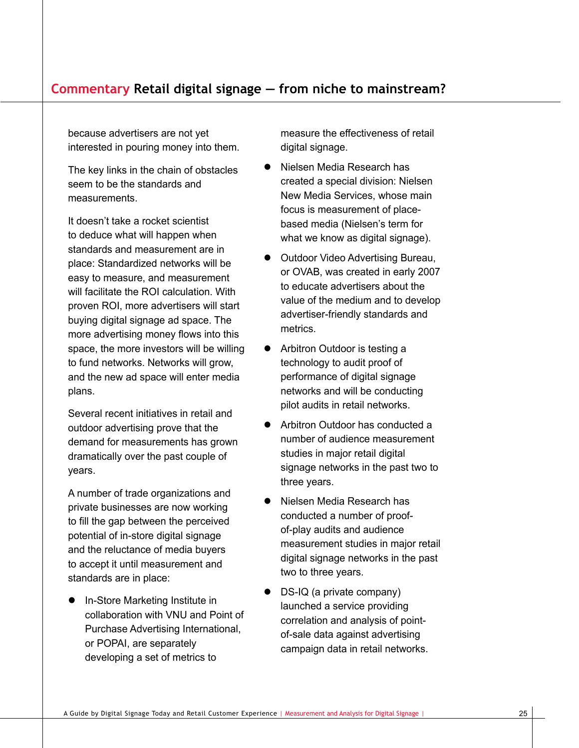because advertisers are not yet interested in pouring money into them.

The key links in the chain of obstacles seem to be the standards and measurements.

It doesn't take a rocket scientist to deduce what will happen when standards and measurement are in place: Standardized networks will be easy to measure, and measurement will facilitate the ROI calculation. With proven ROI, more advertisers will start buying digital signage ad space. The more advertising money flows into this space, the more investors will be willing to fund networks. Networks will grow, and the new ad space will enter media plans.

Several recent initiatives in retail and outdoor advertising prove that the demand for measurements has grown dramatically over the past couple of years.

A number of trade organizations and private businesses are now working to fill the gap between the perceived potential of in-store digital signage and the reluctance of media buyers to accept it until measurement and standards are in place:

• In-Store Marketing Institute in collaboration with VNU and Point of Purchase Advertising International, or POPAI, are separately developing a set of metrics to

measure the effectiveness of retail digital signage.

- Nielsen Media Research has created a special division: Nielsen New Media Services, whose main focus is measurement of placebased media (Nielsen's term for what we know as digital signage).
- **Outdoor Video Advertising Bureau,** or OVAB, was created in early 2007 to educate advertisers about the value of the medium and to develop advertiser-friendly standards and metrics.
- Arbitron Outdoor is testing a technology to audit proof of performance of digital signage networks and will be conducting pilot audits in retail networks.
- Arbitron Outdoor has conducted a number of audience measurement studies in major retail digital signage networks in the past two to three years.
- Nielsen Media Research has conducted a number of proofof-play audits and audience measurement studies in major retail digital signage networks in the past two to three years.
- $\bullet$  DS-IQ (a private company) launched a service providing correlation and analysis of pointof-sale data against advertising campaign data in retail networks.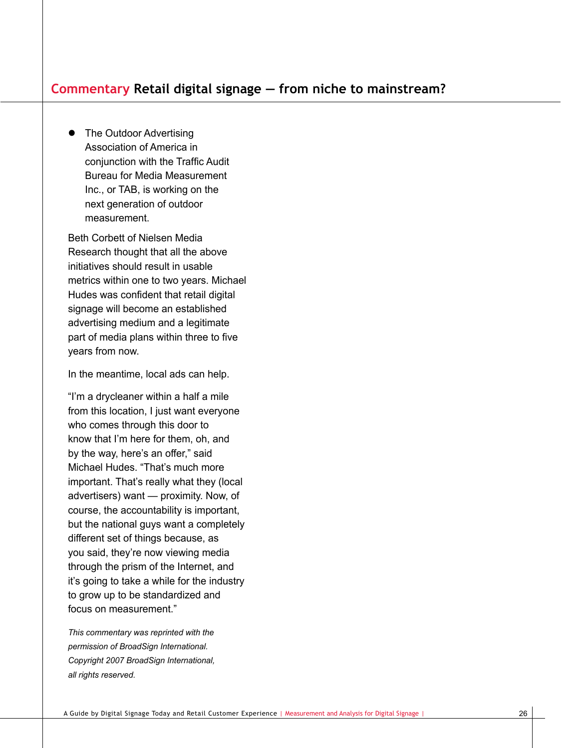• The Outdoor Advertising Association of America in conjunction with the Traffic Audit Bureau for Media Measurement Inc., or TAB, is working on the next generation of outdoor measurement.

Beth Corbett of Nielsen Media Research thought that all the above initiatives should result in usable metrics within one to two years. Michael Hudes was confident that retail digital signage will become an established advertising medium and a legitimate part of media plans within three to five years from now.

In the meantime, local ads can help.

"I'm a drycleaner within a half a mile from this location, I just want everyone who comes through this door to know that I'm here for them, oh, and by the way, here's an offer," said Michael Hudes. "That's much more important. That's really what they (local advertisers) want — proximity. Now, of course, the accountability is important, but the national guys want a completely different set of things because, as you said, they're now viewing media through the prism of the Internet, and it's going to take a while for the industry to grow up to be standardized and focus on measurement."

*This commentary was reprinted with the permission of BroadSign International. Copyright 2007 BroadSign International, all rights reserved.*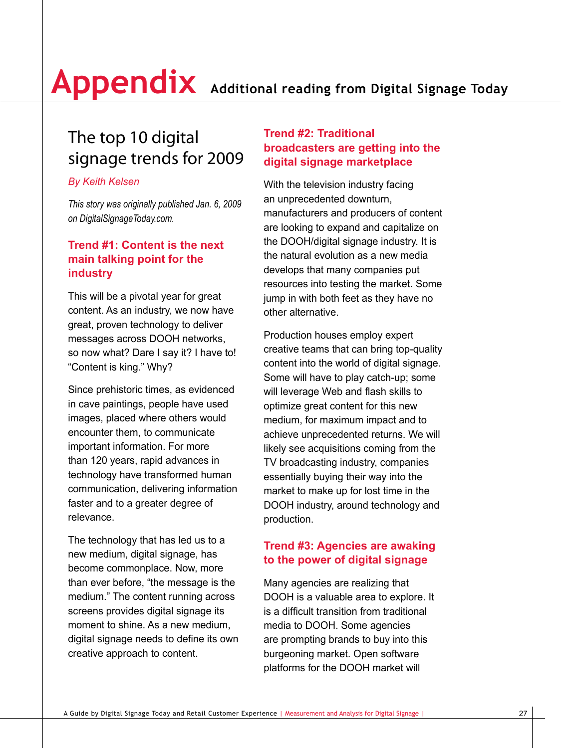## The top 10 digital signage trends for 2009

#### *By Keith Kelsen*

*This story was originally published Jan. 6, 2009 on DigitalSignageToday.com.*

#### **Trend #1: Content is the next main talking point for the industry**

This will be a pivotal year for great content. As an industry, we now have great, proven technology to deliver messages across DOOH networks, so now what? Dare I say it? I have to! "Content is king." Why?

Since prehistoric times, as evidenced in cave paintings, people have used images, placed where others would encounter them, to communicate important information. For more than 120 years, rapid advances in technology have transformed human communication, delivering information faster and to a greater degree of relevance.

The technology that has led us to a new medium, digital signage, has become commonplace. Now, more than ever before, "the message is the medium." The content running across screens provides digital signage its moment to shine. As a new medium, digital signage needs to define its own creative approach to content.

#### **Trend #2: Traditional broadcasters are getting into the digital signage marketplace**

With the television industry facing an unprecedented downturn, manufacturers and producers of content are looking to expand and capitalize on the DOOH/digital signage industry. It is the natural evolution as a new media develops that many companies put resources into testing the market. Some jump in with both feet as they have no other alternative.

Production houses employ expert creative teams that can bring top-quality content into the world of digital signage. Some will have to play catch-up; some will leverage Web and flash skills to optimize great content for this new medium, for maximum impact and to achieve unprecedented returns. We will likely see acquisitions coming from the TV broadcasting industry, companies essentially buying their way into the market to make up for lost time in the DOOH industry, around technology and production.

#### **Trend #3: Agencies are awaking to the power of digital signage**

Many agencies are realizing that DOOH is a valuable area to explore. It is a difficult transition from traditional media to DOOH. Some agencies are prompting brands to buy into this burgeoning market. Open software platforms for the DOOH market will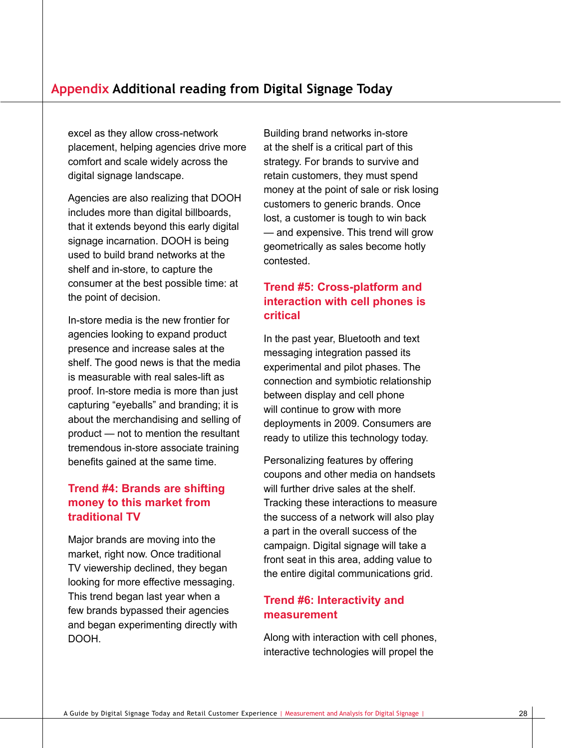excel as they allow cross-network placement, helping agencies drive more comfort and scale widely across the digital signage landscape.

Agencies are also realizing that DOOH includes more than digital billboards, that it extends beyond this early digital signage incarnation. DOOH is being used to build brand networks at the shelf and in-store, to capture the consumer at the best possible time: at the point of decision.

In-store media is the new frontier for agencies looking to expand product presence and increase sales at the shelf. The good news is that the media is measurable with real sales-lift as proof. In-store media is more than just capturing "eyeballs" and branding; it is about the merchandising and selling of product — not to mention the resultant tremendous in-store associate training benefits gained at the same time.

#### **Trend #4: Brands are shifting money to this market from traditional TV**

Major brands are moving into the market, right now. Once traditional TV viewership declined, they began looking for more effective messaging. This trend began last year when a few brands bypassed their agencies and began experimenting directly with DOOH.

Building brand networks in-store at the shelf is a critical part of this strategy. For brands to survive and retain customers, they must spend money at the point of sale or risk losing customers to generic brands. Once lost, a customer is tough to win back — and expensive. This trend will grow geometrically as sales become hotly contested.

#### **Trend #5: Cross-platform and interaction with cell phones is critical**

In the past year, Bluetooth and text messaging integration passed its experimental and pilot phases. The connection and symbiotic relationship between display and cell phone will continue to grow with more deployments in 2009. Consumers are ready to utilize this technology today.

Personalizing features by offering coupons and other media on handsets will further drive sales at the shelf. Tracking these interactions to measure the success of a network will also play a part in the overall success of the campaign. Digital signage will take a front seat in this area, adding value to the entire digital communications grid.

#### **Trend #6: Interactivity and measurement**

Along with interaction with cell phones, interactive technologies will propel the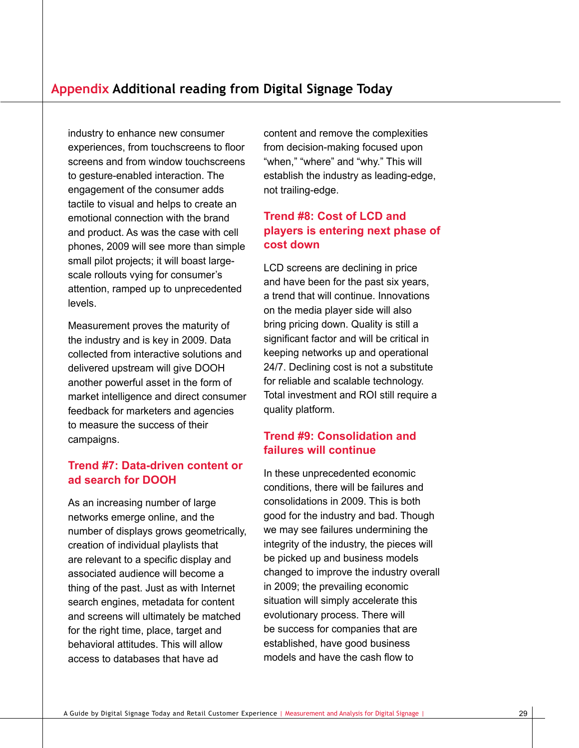industry to enhance new consumer experiences, from touchscreens to floor screens and from window touchscreens to gesture-enabled interaction. The engagement of the consumer adds tactile to visual and helps to create an emotional connection with the brand and product. As was the case with cell phones, 2009 will see more than simple small pilot projects; it will boast largescale rollouts vying for consumer's attention, ramped up to unprecedented levels.

Measurement proves the maturity of the industry and is key in 2009. Data collected from interactive solutions and delivered upstream will give DOOH another powerful asset in the form of market intelligence and direct consumer feedback for marketers and agencies to measure the success of their campaigns.

#### **Trend #7: Data-driven content or ad search for DOOH**

As an increasing number of large networks emerge online, and the number of displays grows geometrically, creation of individual playlists that are relevant to a specific display and associated audience will become a thing of the past. Just as with Internet search engines, metadata for content and screens will ultimately be matched for the right time, place, target and behavioral attitudes. This will allow access to databases that have ad

content and remove the complexities from decision-making focused upon "when," "where" and "why." This will establish the industry as leading-edge, not trailing-edge.

#### **Trend #8: Cost of LCD and players is entering next phase of cost down**

LCD screens are declining in price and have been for the past six years, a trend that will continue. Innovations on the media player side will also bring pricing down. Quality is still a significant factor and will be critical in keeping networks up and operational 24/7. Declining cost is not a substitute for reliable and scalable technology. Total investment and ROI still require a quality platform.

#### **Trend #9: Consolidation and failures will continue**

In these unprecedented economic conditions, there will be failures and consolidations in 2009. This is both good for the industry and bad. Though we may see failures undermining the integrity of the industry, the pieces will be picked up and business models changed to improve the industry overall in 2009; the prevailing economic situation will simply accelerate this evolutionary process. There will be success for companies that are established, have good business models and have the cash flow to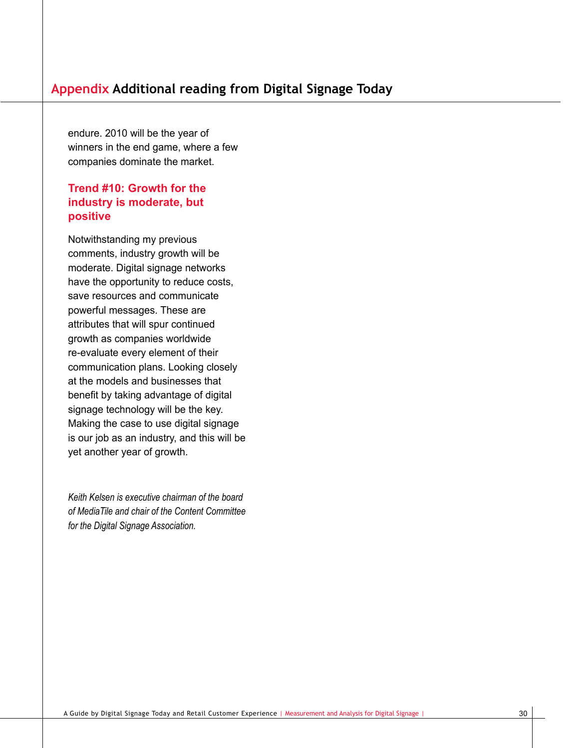endure. 2010 will be the year of winners in the end game, where a few companies dominate the market.

#### **Trend #10: Growth for the industry is moderate, but positive**

Notwithstanding my previous comments, industry growth will be moderate. Digital signage networks have the opportunity to reduce costs, save resources and communicate powerful messages. These are attributes that will spur continued growth as companies worldwide re-evaluate every element of their communication plans. Looking closely at the models and businesses that benefit by taking advantage of digital signage technology will be the key. Making the case to use digital signage is our job as an industry, and this will be yet another year of growth.

*Keith Kelsen is executive chairman of the board of MediaTile and chair of the Content Committee for the Digital Signage Association.*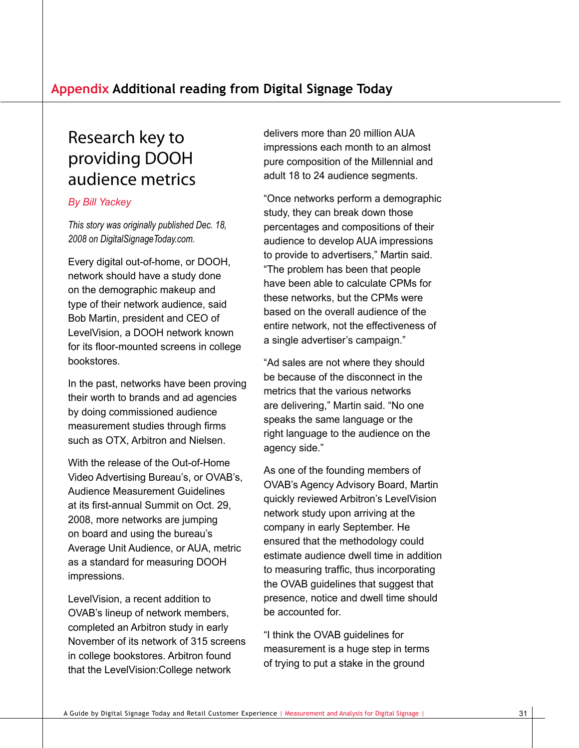### Research key to providing DOOH audience metrics

#### *By Bill Yackey*

*This story was originally published Dec. 18, 2008 on DigitalSignageToday.com.*

Every digital out-of-home, or DOOH, network should have a study done on the demographic makeup and type of their network audience, said Bob Martin, president and CEO of LevelVision, a DOOH network known for its floor-mounted screens in college bookstores.

In the past, networks have been proving their worth to brands and ad agencies by doing commissioned audience measurement studies through firms such as OTX, Arbitron and Nielsen.

With the release of the Out-of-Home Video Advertising Bureau's, or OVAB's, Audience Measurement Guidelines at its first-annual Summit on Oct. 29, 2008, more networks are jumping on board and using the bureau's Average Unit Audience, or AUA, metric as a standard for measuring DOOH impressions.

LevelVision, a recent addition to OVAB's lineup of network members, completed an Arbitron study in early November of its network of 315 screens in college bookstores. Arbitron found that the LevelVision:College network

delivers more than 20 million AUA impressions each month to an almost pure composition of the Millennial and adult 18 to 24 audience segments.

"Once networks perform a demographic study, they can break down those percentages and compositions of their audience to develop AUA impressions to provide to advertisers," Martin said. "The problem has been that people have been able to calculate CPMs for these networks, but the CPMs were based on the overall audience of the entire network, not the effectiveness of a single advertiser's campaign."

"Ad sales are not where they should be because of the disconnect in the metrics that the various networks are delivering," Martin said. "No one speaks the same language or the right language to the audience on the agency side."

As one of the founding members of OVAB's Agency Advisory Board, Martin quickly reviewed Arbitron's LevelVision network study upon arriving at the company in early September. He ensured that the methodology could estimate audience dwell time in addition to measuring traffic, thus incorporating the OVAB guidelines that suggest that presence, notice and dwell time should be accounted for.

"I think the OVAB guidelines for measurement is a huge step in terms of trying to put a stake in the ground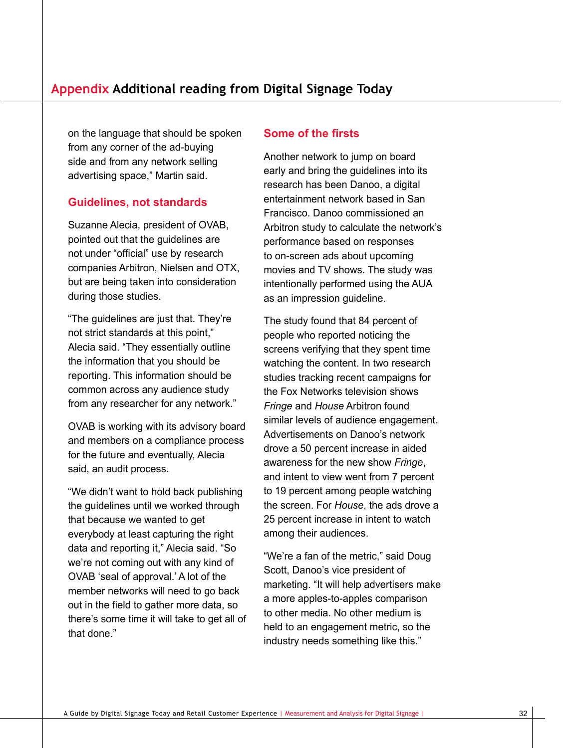on the language that should be spoken from any corner of the ad-buying side and from any network selling advertising space," Martin said.

#### **Guidelines, not standards**

Suzanne Alecia, president of OVAB, pointed out that the guidelines are not under "official" use by research companies Arbitron, Nielsen and OTX, but are being taken into consideration during those studies.

"The guidelines are just that. They're not strict standards at this point," Alecia said. "They essentially outline the information that you should be reporting. This information should be common across any audience study from any researcher for any network."

OVAB is working with its advisory board and members on a compliance process for the future and eventually, Alecia said, an audit process.

"We didn't want to hold back publishing the guidelines until we worked through that because we wanted to get everybody at least capturing the right data and reporting it," Alecia said. "So we're not coming out with any kind of OVAB 'seal of approval.' A lot of the member networks will need to go back out in the field to gather more data, so there's some time it will take to get all of that done."

#### **Some of the firsts**

Another network to jump on board early and bring the guidelines into its research has been Danoo, a digital entertainment network based in San Francisco. Danoo commissioned an Arbitron study to calculate the network's performance based on responses to on-screen ads about upcoming movies and TV shows. The study was intentionally performed using the AUA as an impression guideline.

The study found that 84 percent of people who reported noticing the screens verifying that they spent time watching the content. In two research studies tracking recent campaigns for the Fox Networks television shows *Fringe* and *House* Arbitron found similar levels of audience engagement. Advertisements on Danoo's network drove a 50 percent increase in aided awareness for the new show *Fringe*, and intent to view went from 7 percent to 19 percent among people watching the screen. For *House*, the ads drove a 25 percent increase in intent to watch among their audiences.

"We're a fan of the metric," said Doug Scott, Danoo's vice president of marketing. "It will help advertisers make a more apples-to-apples comparison to other media. No other medium is held to an engagement metric, so the industry needs something like this."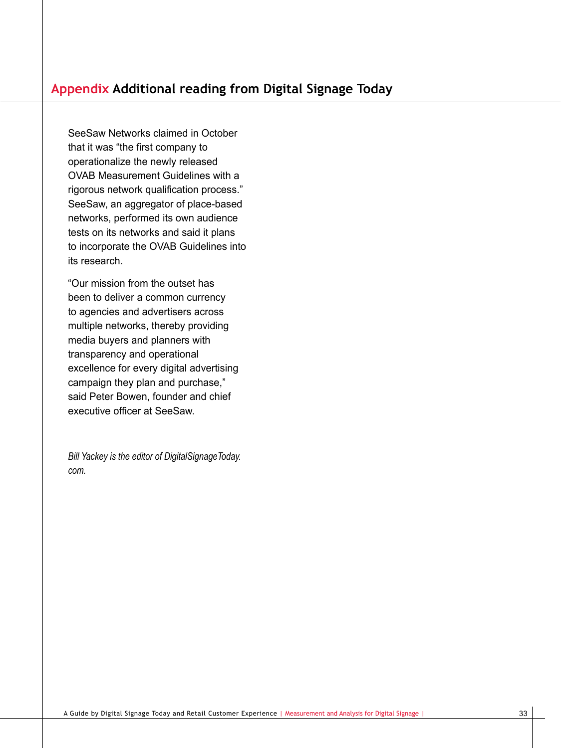SeeSaw Networks claimed in October that it was "the first company to operationalize the newly released OVAB Measurement Guidelines with a rigorous network qualification process." SeeSaw, an aggregator of place-based networks, performed its own audience tests on its networks and said it plans to incorporate the OVAB Guidelines into its research.

"Our mission from the outset has been to deliver a common currency to agencies and advertisers across multiple networks, thereby providing media buyers and planners with transparency and operational excellence for every digital advertising campaign they plan and purchase," said Peter Bowen, founder and chief executive officer at SeeSaw.

*Bill Yackey is the editor of DigitalSignageToday. com.*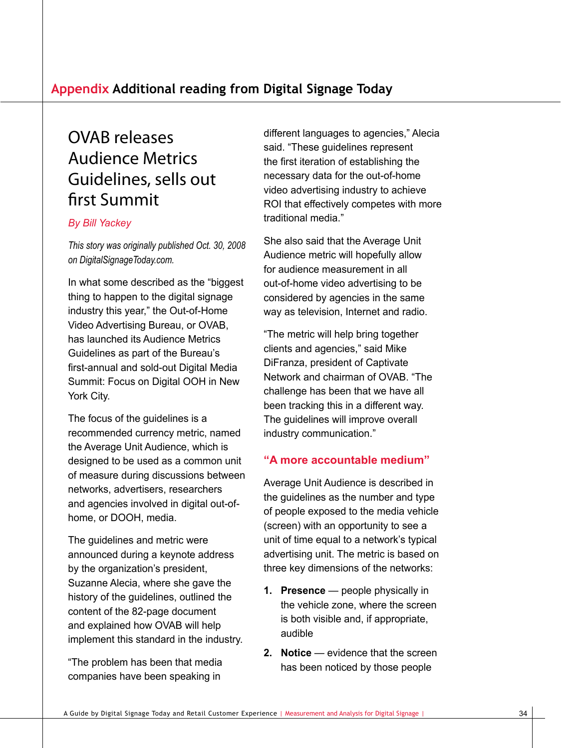## OVAB releases Audience Metrics Guidelines, sells out first Summit

#### *By Bill Yackey*

*This story was originally published Oct. 30, 2008 on DigitalSignageToday.com.*

In what some described as the "biggest thing to happen to the digital signage industry this year," the Out-of-Home Video Advertising Bureau, or OVAB, has launched its Audience Metrics Guidelines as part of the Bureau's first-annual and sold-out Digital Media Summit: Focus on Digital OOH in New York City.

The focus of the guidelines is a recommended currency metric, named the Average Unit Audience, which is designed to be used as a common unit of measure during discussions between networks, advertisers, researchers and agencies involved in digital out-ofhome, or DOOH, media.

The guidelines and metric were announced during a keynote address by the organization's president, Suzanne Alecia, where she gave the history of the guidelines, outlined the content of the 82-page document and explained how OVAB will help implement this standard in the industry.

"The problem has been that media companies have been speaking in

different languages to agencies," Alecia said. "These guidelines represent the first iteration of establishing the necessary data for the out-of-home video advertising industry to achieve ROI that effectively competes with more traditional media."

She also said that the Average Unit Audience metric will hopefully allow for audience measurement in all out-of-home video advertising to be considered by agencies in the same way as television, Internet and radio.

"The metric will help bring together clients and agencies," said Mike DiFranza, president of Captivate Network and chairman of OVAB. "The challenge has been that we have all been tracking this in a different way. The guidelines will improve overall industry communication."

#### **"A more accountable medium"**

Average Unit Audience is described in the guidelines as the number and type of people exposed to the media vehicle (screen) with an opportunity to see a unit of time equal to a network's typical advertising unit. The metric is based on three key dimensions of the networks:

- **1. Presence** people physically in the vehicle zone, where the screen is both visible and, if appropriate, audible
- **2. Notice** evidence that the screen has been noticed by those people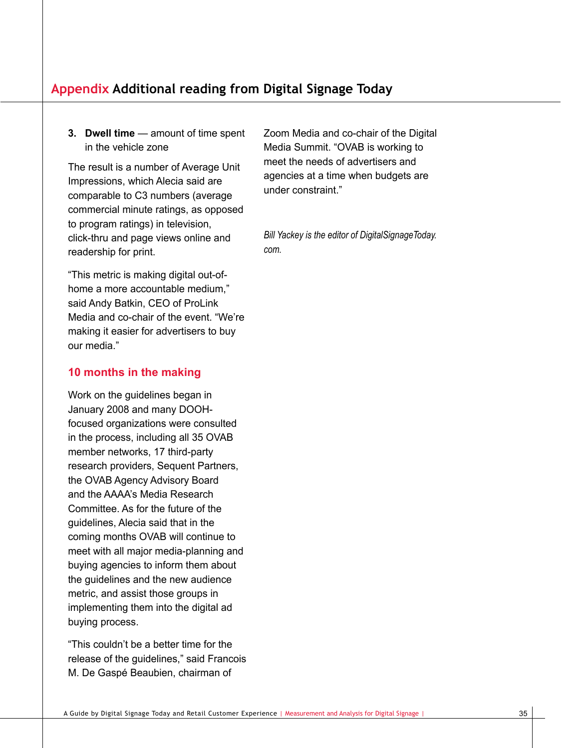#### **Appendix Additional reading from Digital Signage Today**

**3. Dwell time** — amount of time spent in the vehicle zone

The result is a number of Average Unit Impressions, which Alecia said are comparable to C3 numbers (average commercial minute ratings, as opposed to program ratings) in television, click-thru and page views online and readership for print.

"This metric is making digital out-ofhome a more accountable medium," said Andy Batkin, CEO of ProLink Media and co-chair of the event. "We're making it easier for advertisers to buy our media."

#### **10 months in the making**

Work on the guidelines began in January 2008 and many DOOHfocused organizations were consulted in the process, including all 35 OVAB member networks, 17 third-party research providers, Sequent Partners, the OVAB Agency Advisory Board and the AAAA's Media Research Committee. As for the future of the guidelines, Alecia said that in the coming months OVAB will continue to meet with all major media-planning and buying agencies to inform them about the guidelines and the new audience metric, and assist those groups in implementing them into the digital ad buying process.

"This couldn't be a better time for the release of the guidelines," said Francois M. De Gaspé Beaubien, chairman of

Zoom Media and co-chair of the Digital Media Summit. "OVAB is working to meet the needs of advertisers and agencies at a time when budgets are under constraint."

*Bill Yackey is the editor of DigitalSignageToday. com.*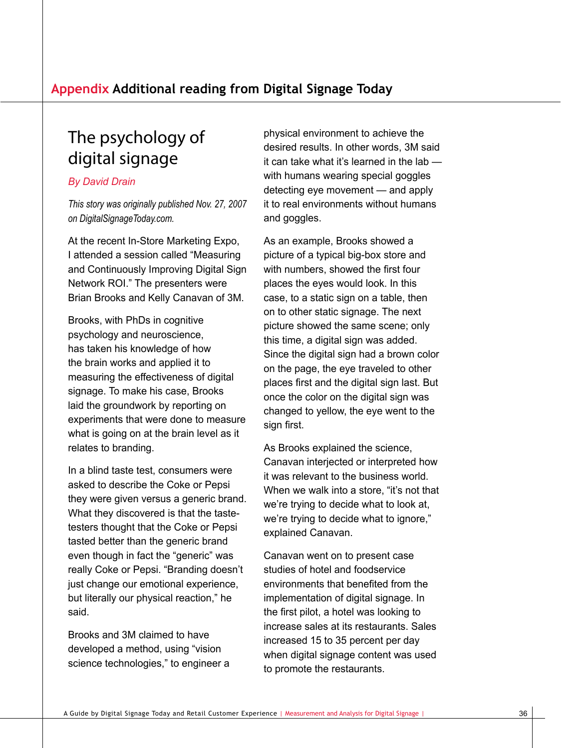## The psychology of digital signage

#### *By David Drain*

*This story was originally published Nov. 27, 2007 on DigitalSignageToday.com.*

At the recent In-Store Marketing Expo, I attended a session called "Measuring and Continuously Improving Digital Sign Network ROI." The presenters were Brian Brooks and Kelly Canavan of 3M.

Brooks, with PhDs in cognitive psychology and neuroscience, has taken his knowledge of how the brain works and applied it to measuring the effectiveness of digital signage. To make his case, Brooks laid the groundwork by reporting on experiments that were done to measure what is going on at the brain level as it relates to branding.

In a blind taste test, consumers were asked to describe the Coke or Pepsi they were given versus a generic brand. What they discovered is that the tastetesters thought that the Coke or Pepsi tasted better than the generic brand even though in fact the "generic" was really Coke or Pepsi. "Branding doesn't just change our emotional experience, but literally our physical reaction," he said.

Brooks and 3M claimed to have developed a method, using "vision science technologies," to engineer a

physical environment to achieve the desired results. In other words, 3M said it can take what it's learned in the lab with humans wearing special goggles detecting eye movement — and apply it to real environments without humans and goggles.

As an example, Brooks showed a picture of a typical big-box store and with numbers, showed the first four places the eyes would look. In this case, to a static sign on a table, then on to other static signage. The next picture showed the same scene; only this time, a digital sign was added. Since the digital sign had a brown color on the page, the eye traveled to other places first and the digital sign last. But once the color on the digital sign was changed to yellow, the eye went to the sign first.

As Brooks explained the science, Canavan interjected or interpreted how it was relevant to the business world. When we walk into a store, "it's not that we're trying to decide what to look at, we're trying to decide what to ignore," explained Canavan.

Canavan went on to present case studies of hotel and foodservice environments that benefited from the implementation of digital signage. In the first pilot, a hotel was looking to increase sales at its restaurants. Sales increased 15 to 35 percent per day when digital signage content was used to promote the restaurants.